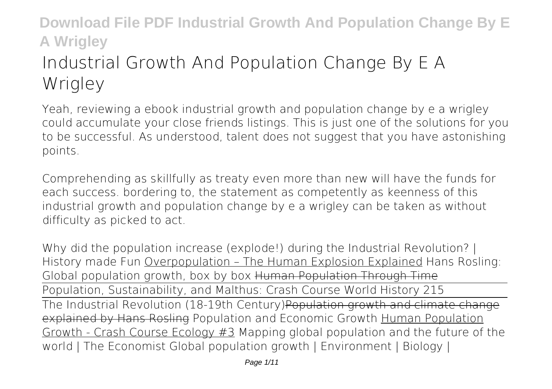# **Industrial Growth And Population Change By E A Wrigley**

Yeah, reviewing a ebook **industrial growth and population change by e a wrigley** could accumulate your close friends listings. This is just one of the solutions for you to be successful. As understood, talent does not suggest that you have astonishing points.

Comprehending as skillfully as treaty even more than new will have the funds for each success. bordering to, the statement as competently as keenness of this industrial growth and population change by e a wrigley can be taken as without difficulty as picked to act.

Why did the population increase (explode!) during the Industrial Revolution? | History made Fun Overpopulation – The Human Explosion Explained *Hans Rosling: Global population growth, box by box* Human Population Through Time Population, Sustainability, and Malthus: Crash Course World History 215 The Industrial Revolution (18-19th Century)Population growth and climate change explained by Hans Rosling **Population and Economic Growth** Human Population Growth - Crash Course Ecology #3 *Mapping global population and the future of the world | The Economist* Global population growth | Environment | Biology |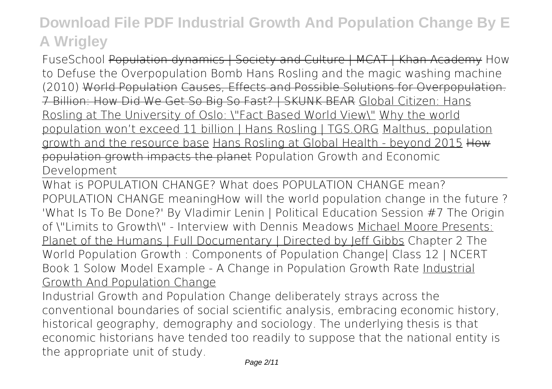FuseSchool Population dynamics | Society and Culture | MCAT | Khan Academy *How to Defuse the Overpopulation Bomb* Hans Rosling and the magic washing machine (2010) World Population Causes, Effects and Possible Solutions for Overpopulation. 7 Billion: How Did We Get So Big So Fast? | SKUNK BEAR Global Citizen: Hans Rosling at The University of Oslo: \"Fact Based World View\" Why the world population won't exceed 11 billion | Hans Rosling | TGS.ORG Malthus, population growth and the resource base Hans Rosling at Global Health - beyond 2015 How population growth impacts the planet *Population Growth and Economic Development*

What is POPULATION CHANGE? What does POPULATION CHANGE mean? POPULATION CHANGE meaning*How will the world population change in the future ?* **'What Is To Be Done?' By Vladimir Lenin | Political Education Session #7 The Origin of \"Limits to Growth\" - Interview with Dennis Meadows** Michael Moore Presents: Planet of the Humans | Full Documentary | Directed by Jeff Gibbs *Chapter 2 The World Population Growth : Components of Population Change| Class 12 | NCERT Book 1 Solow Model Example - A Change in Population Growth Rate* Industrial Growth And Population Change

Industrial Growth and Population Change deliberately strays across the conventional boundaries of social scientific analysis, embracing economic history, historical geography, demography and sociology. The underlying thesis is that economic historians have tended too readily to suppose that the national entity is the appropriate unit of study.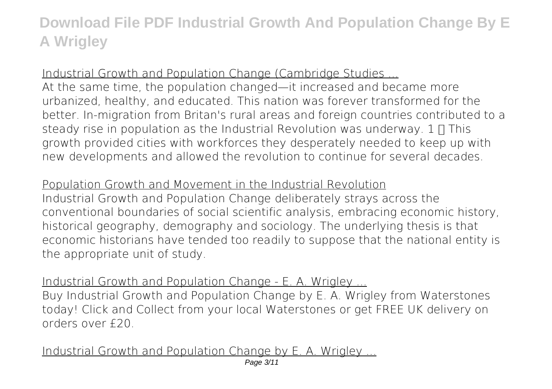### Industrial Growth and Population Change (Cambridge Studies ...

At the same time, the population changed—it increased and became more urbanized, healthy, and educated. This nation was forever transformed for the better. In-migration from Britan's rural areas and foreign countries contributed to a steady rise in population as the Industrial Revolution was underway.  $1 \Pi$  This growth provided cities with workforces they desperately needed to keep up with new developments and allowed the revolution to continue for several decades.

### Population Growth and Movement in the Industrial Revolution

Industrial Growth and Population Change deliberately strays across the conventional boundaries of social scientific analysis, embracing economic history, historical geography, demography and sociology. The underlying thesis is that economic historians have tended too readily to suppose that the national entity is the appropriate unit of study.

Industrial Growth and Population Change - E. A. Wrigley

Buy Industrial Growth and Population Change by E. A. Wrigley from Waterstones today! Click and Collect from your local Waterstones or get FREE UK delivery on orders over £20.

Industrial Growth and Population Change by E. A. Wrigley.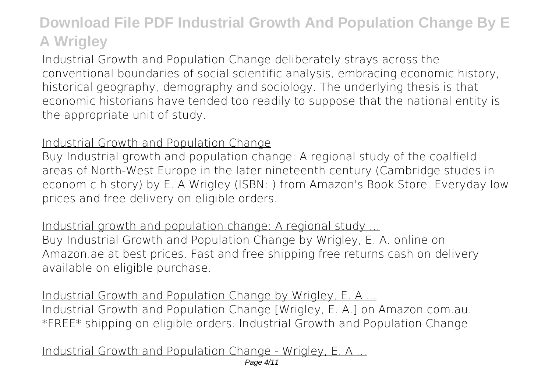Industrial Growth and Population Change deliberately strays across the conventional boundaries of social scientific analysis, embracing economic history, historical geography, demography and sociology. The underlying thesis is that economic historians have tended too readily to suppose that the national entity is the appropriate unit of study.

#### Industrial Growth and Population Change

Buy Industrial growth and population change: A regional study of the coalfield areas of North-West Europe in the later nineteenth century (Cambridge studes in econom c h story) by E. A Wrigley (ISBN: ) from Amazon's Book Store. Everyday low prices and free delivery on eligible orders.

Industrial growth and population change: A regional study ... Buy Industrial Growth and Population Change by Wrigley, E. A. online on Amazon.ae at best prices. Fast and free shipping free returns cash on delivery available on eligible purchase.

Industrial Growth and Population Change by Wrigley, E. A ... Industrial Growth and Population Change [Wrigley, E. A.] on Amazon.com.au. \*FREE\* shipping on eligible orders. Industrial Growth and Population Change

Industrial Growth and Population Change - Wrigley, E. A ...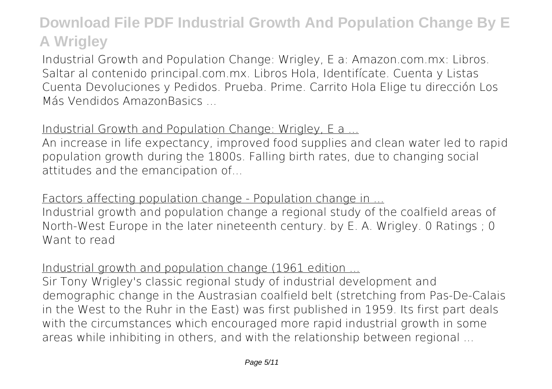Industrial Growth and Population Change: Wrigley, E a: Amazon.com.mx: Libros. Saltar al contenido principal.com.mx. Libros Hola, Identifícate. Cuenta y Listas Cuenta Devoluciones y Pedidos. Prueba. Prime. Carrito Hola Elige tu dirección Los Más Vendidos AmazonBasics ...

### Industrial Growth and Population Change: Wrigley, E a ...

An increase in life expectancy, improved food supplies and clean water led to rapid population growth during the 1800s. Falling birth rates, due to changing social attitudes and the emancipation of...

Factors affecting population change - Population change in ...

Industrial growth and population change a regional study of the coalfield areas of North-West Europe in the later nineteenth century. by E. A. Wrigley. 0 Ratings ; 0 Want to read

#### Industrial growth and population change (1961 edition

Sir Tony Wrigley's classic regional study of industrial development and demographic change in the Austrasian coalfield belt (stretching from Pas-De-Calais in the West to the Ruhr in the East) was first published in 1959. Its first part deals with the circumstances which encouraged more rapid industrial growth in some areas while inhibiting in others, and with the relationship between regional ...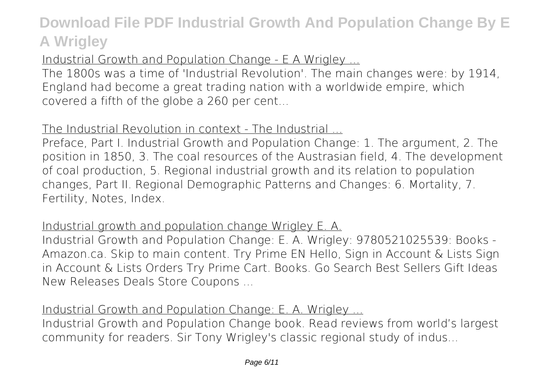### Industrial Growth and Population Change - E A Wrigley ...

The 1800s was a time of 'Industrial Revolution'. The main changes were: by 1914, England had become a great trading nation with a worldwide empire, which covered a fifth of the globe a 260 per cent...

### The Industrial Revolution in context - The Industrial ...

Preface, Part I. Industrial Growth and Population Change: 1. The argument, 2. The position in 1850, 3. The coal resources of the Austrasian field, 4. The development of coal production, 5. Regional industrial growth and its relation to population changes, Part II. Regional Demographic Patterns and Changes: 6. Mortality, 7. Fertility, Notes, Index.

#### Industrial growth and population change Wrigley E. A.

Industrial Growth and Population Change: E. A. Wrigley: 9780521025539: Books - Amazon.ca. Skip to main content. Try Prime EN Hello, Sign in Account & Lists Sign in Account & Lists Orders Try Prime Cart. Books. Go Search Best Sellers Gift Ideas New Releases Deals Store Coupons ...

#### Industrial Growth and Population Change: E. A. Wrigley ...

Industrial Growth and Population Change book. Read reviews from world's largest community for readers. Sir Tony Wrigley's classic regional study of indus...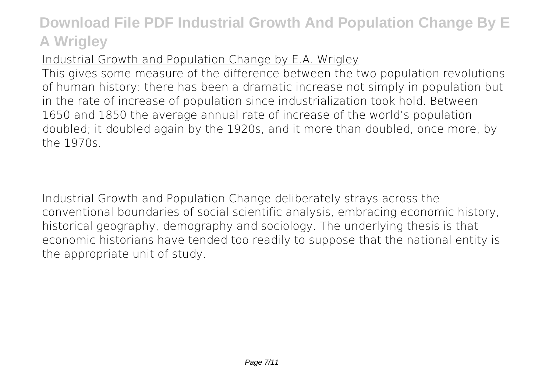### Industrial Growth and Population Change by E.A. Wrigley

This gives some measure of the difference between the two population revolutions of human history: there has been a dramatic increase not simply in population but in the rate of increase of population since industrialization took hold. Between 1650 and 1850 the average annual rate of increase of the world's population doubled; it doubled again by the 1920s, and it more than doubled, once more, by the 1970s.

Industrial Growth and Population Change deliberately strays across the conventional boundaries of social scientific analysis, embracing economic history, historical geography, demography and sociology. The underlying thesis is that economic historians have tended too readily to suppose that the national entity is the appropriate unit of study.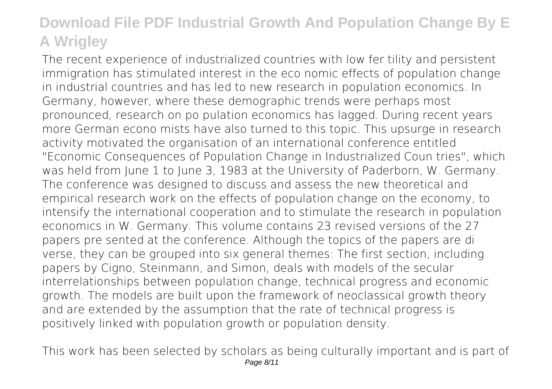The recent experience of industrialized countries with low fer tility and persistent immigration has stimulated interest in the eco nomic effects of population change in industrial countries and has led to new research in population economics. In Germany, however, where these demographic trends were perhaps most pronounced, research on po pulation economics has lagged. During recent years more German econo mists have also turned to this topic. This upsurge in research activity motivated the organisation of an international conference entitled "Economic Consequences of Population Change in Industrialized Coun tries", which was held from June 1 to June 3, 1983 at the University of Paderborn, W. Germany. The conference was designed to discuss and assess the new theoretical and empirical research work on the effects of population change on the economy, to intensify the international cooperation and to stimulate the research in population economics in W. Germany. This volume contains 23 revised versions of the 27 papers pre sented at the conference. Although the topics of the papers are di verse, they can be grouped into six general themes: The first section, including papers by Cigno, Steinmann, and Simon, deals with models of the secular interrelationships between population change, technical progress and economic growth. The models are built upon the framework of neoclassical growth theory and are extended by the assumption that the rate of technical progress is positively linked with population growth or population density.

This work has been selected by scholars as being culturally important and is part of Page 8/11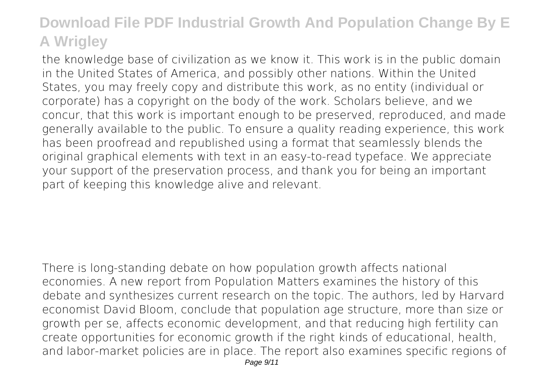the knowledge base of civilization as we know it. This work is in the public domain in the United States of America, and possibly other nations. Within the United States, you may freely copy and distribute this work, as no entity (individual or corporate) has a copyright on the body of the work. Scholars believe, and we concur, that this work is important enough to be preserved, reproduced, and made generally available to the public. To ensure a quality reading experience, this work has been proofread and republished using a format that seamlessly blends the original graphical elements with text in an easy-to-read typeface. We appreciate your support of the preservation process, and thank you for being an important part of keeping this knowledge alive and relevant.

There is long-standing debate on how population growth affects national economies. A new report from Population Matters examines the history of this debate and synthesizes current research on the topic. The authors, led by Harvard economist David Bloom, conclude that population age structure, more than size or growth per se, affects economic development, and that reducing high fertility can create opportunities for economic growth if the right kinds of educational, health, and labor-market policies are in place. The report also examines specific regions of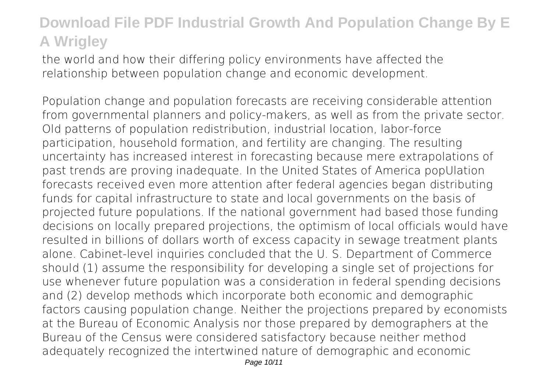the world and how their differing policy environments have affected the relationship between population change and economic development.

Population change and population forecasts are receiving considerable attention from governmental planners and policy-makers, as well as from the private sector. Old patterns of population redistribution, industrial location, labor-force participation, household formation, and fertility are changing. The resulting uncertainty has increased interest in forecasting because mere extrapolations of past trends are proving inadequate. In the United States of America popUlation forecasts received even more attention after federal agencies began distributing funds for capital infrastructure to state and local governments on the basis of projected future populations. If the national government had based those funding decisions on locally prepared projections, the optimism of local officials would have resulted in billions of dollars worth of excess capacity in sewage treatment plants alone. Cabinet-level inquiries concluded that the U. S. Department of Commerce should (1) assume the responsibility for developing a single set of projections for use whenever future population was a consideration in federal spending decisions and (2) develop methods which incorporate both economic and demographic factors causing population change. Neither the projections prepared by economists at the Bureau of Economic Analysis nor those prepared by demographers at the Bureau of the Census were considered satisfactory because neither method adequately recognized the intertwined nature of demographic and economic